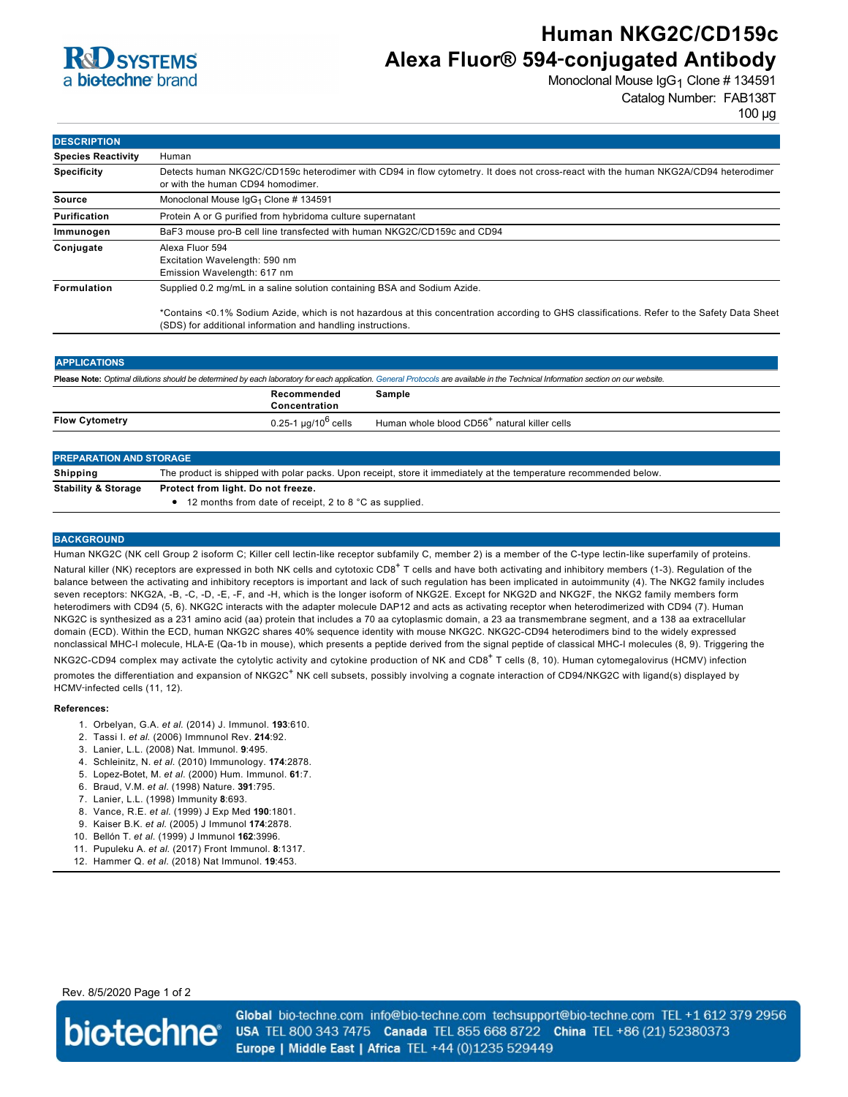

# **Human NKG2C/CD159c Alexa Fluor® 594**‑**conjugated Antibody**

Monoclonal Mouse IgG<sub>1</sub> Clone # 134591 Catalog Number: FAB138T

100 µg

| <b>DESCRIPTION</b>        |                                                                                                                                                                                                            |
|---------------------------|------------------------------------------------------------------------------------------------------------------------------------------------------------------------------------------------------------|
| <b>Species Reactivity</b> | Human                                                                                                                                                                                                      |
| <b>Specificity</b>        | Detects human NKG2C/CD159c heterodimer with CD94 in flow cytometry. It does not cross-react with the human NKG2A/CD94 heterodimer<br>or with the human CD94 homodimer.                                     |
| Source                    | Monoclonal Mouse IgG <sub>1</sub> Clone # 134591                                                                                                                                                           |
| Purification              | Protein A or G purified from hybridoma culture supernatant                                                                                                                                                 |
| Immunogen                 | BaF3 mouse pro-B cell line transfected with human NKG2C/CD159c and CD94                                                                                                                                    |
| Conjugate                 | Alexa Fluor 594<br>Excitation Wavelength: 590 nm<br>Emission Wavelength: 617 nm                                                                                                                            |
| Formulation               | Supplied 0.2 mg/mL in a saline solution containing BSA and Sodium Azide.                                                                                                                                   |
|                           | *Contains <0.1% Sodium Azide, which is not hazardous at this concentration according to GHS classifications. Refer to the Safety Data Sheet<br>(SDS) for additional information and handling instructions. |

| <b>APPLICATIONS</b>                                                                                                                                                               |                              |                                                          |  |  |
|-----------------------------------------------------------------------------------------------------------------------------------------------------------------------------------|------------------------------|----------------------------------------------------------|--|--|
| Please Note: Optimal dilutions should be determined by each laboratory for each application. General Protocols are available in the Technical Information section on our website. |                              |                                                          |  |  |
|                                                                                                                                                                                   | Recommended<br>Concentration | Sample                                                   |  |  |
| <b>Flow Cytometry</b>                                                                                                                                                             | $0.25$ -1 µg/10 $^6$ cells   | Human whole blood CD56 <sup>+</sup> natural killer cells |  |  |
|                                                                                                                                                                                   |                              |                                                          |  |  |

| <b>PREPARATION AND STORAGE</b> |                                                                                                                   |  |
|--------------------------------|-------------------------------------------------------------------------------------------------------------------|--|
| Shipping                       | The product is shipped with polar packs. Upon receipt, store it immediately at the temperature recommended below. |  |
| <b>Stability &amp; Storage</b> | Protect from light. Do not freeze.<br>• 12 months from date of receipt, 2 to 8 °C as supplied.                    |  |

### **BACKGROUND**

Human NKG2C (NK cell Group 2 isoform C; Killer cell lectin-like receptor subfamily C, member 2) is a member of the C-type lectin-like superfamily of proteins. Natural killer (NK) receptors are expressed in both NK cells and cytotoxic CD8<sup>+</sup> T cells and have both activating and inhibitory members (1-3). Regulation of the balance between the activating and inhibitory receptors is important and lack of such regulation has been implicated in autoimmunity (4). The NKG2 family includes seven receptors: NKG2A, -B, -C, -D, -E, -F, and -H, which is the longer isoform of NKG2E. Except for NKG2D and NKG2F, the NKG2 family members form heterodimers with CD94 (5, 6). NKG2C interacts with the adapter molecule DAP12 and acts as activating receptor when heterodimerized with CD94 (7). Human NKG2C is synthesized as a 231 amino acid (aa) protein that includes a 70 aa cytoplasmic domain, a 23 aa transmembrane segment, and a 138 aa extracellular domain (ECD). Within the ECD, human NKG2C shares 40% sequence identity with mouse NKG2C. NKG2C-CD94 heterodimers bind to the widely expressed nonclassical MHC-I molecule, HLA-E (Qa-1b in mouse), which presents a peptide derived from the signal peptide of classical MHC-I molecules (8, 9). Triggering the NKG2C-CD94 complex may activate the cytolytic activity and cytokine production of NK and CD8<sup>+</sup> T cells (8, 10). Human cytomegalovirus (HCMV) infection promotes the differentiation and expansion of NKG2C<sup>+</sup> NK cell subsets, possibly involving a cognate interaction of CD94/NKG2C with ligand(s) displayed by HCMV‑infected cells (11, 12).

#### **References:**

- 1. Orbelyan, G.A. *et al*. (2014) J. Immunol. **193**:610.
- 2. Tassi I. *et al*. (2006) Immnunol Rev. **214**:92.
- 3. Lanier, L.L. (2008) Nat. Immunol. **9**:495.
- 4. Schleinitz, N. *et al*. (2010) Immunology. **174**:2878.
- 5. Lopez-Botet, M. *et al*. (2000) Hum. Immunol. **61**:7.
- 6. Braud, V.M. *et al*. (1998) Nature. **391**:795.
- 7. Lanier, L.L. (1998) Immunity **8**:693.
- 8. Vance, R.E. *et al*. (1999) J Exp Med **190**:1801.
- 9. Kaiser B.K. *et al*. (2005) J Immunol **174**:2878.
- 10. Bellón T. *et al*. (1999) J Immunol **162**:3996.
- 11. Pupuleku A. *et al*. (2017) Front Immunol. **8**:1317.
- 12. Hammer Q. *et al*. (2018) Nat Immunol. **19**:453.

Rev. 8/5/2020 Page 1 of 2



Global bio-techne.com info@bio-techne.com techsupport@bio-techne.com TEL +1 612 379 2956 USA TEL 800 343 7475 Canada TEL 855 668 8722 China TEL +86 (21) 52380373 Europe | Middle East | Africa TEL +44 (0)1235 529449